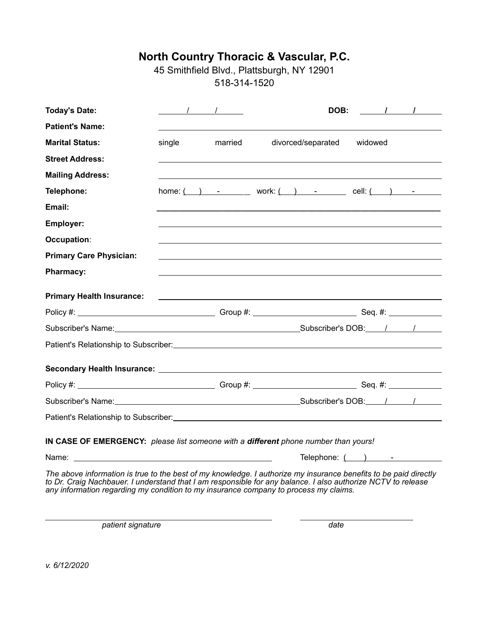45 Smithfield Blvd., Plattsburgh, NY 12901 518-314-1520

| <b>Today's Date:</b>                                                                                                                                                                                                                                                                                                     | $\sqrt{1}$                                                                                                                                                     |         |                                                                                                                                                                                                                               |                         |         | DOB: $\qquad \qquad$ / $\qquad$ / |
|--------------------------------------------------------------------------------------------------------------------------------------------------------------------------------------------------------------------------------------------------------------------------------------------------------------------------|----------------------------------------------------------------------------------------------------------------------------------------------------------------|---------|-------------------------------------------------------------------------------------------------------------------------------------------------------------------------------------------------------------------------------|-------------------------|---------|-----------------------------------|
| <b>Patient's Name:</b>                                                                                                                                                                                                                                                                                                   |                                                                                                                                                                |         |                                                                                                                                                                                                                               |                         |         |                                   |
| <b>Marital Status:</b>                                                                                                                                                                                                                                                                                                   | single                                                                                                                                                         | married | divorced/separated                                                                                                                                                                                                            |                         | widowed |                                   |
| <b>Street Address:</b>                                                                                                                                                                                                                                                                                                   |                                                                                                                                                                |         |                                                                                                                                                                                                                               |                         |         |                                   |
| <b>Mailing Address:</b>                                                                                                                                                                                                                                                                                                  |                                                                                                                                                                |         |                                                                                                                                                                                                                               |                         |         |                                   |
| Telephone:                                                                                                                                                                                                                                                                                                               | home: $\begin{pmatrix} 1 & 1 \\ 1 & 1 \end{pmatrix}$ work: $\begin{pmatrix} 1 & 1 \\ 1 & 1 \end{pmatrix}$ cell: $\begin{pmatrix} 1 & 1 \\ 1 & 1 \end{pmatrix}$ |         |                                                                                                                                                                                                                               |                         |         |                                   |
| Email:                                                                                                                                                                                                                                                                                                                   |                                                                                                                                                                |         |                                                                                                                                                                                                                               |                         |         |                                   |
| Employer:                                                                                                                                                                                                                                                                                                                |                                                                                                                                                                |         |                                                                                                                                                                                                                               |                         |         |                                   |
| Occupation:                                                                                                                                                                                                                                                                                                              |                                                                                                                                                                |         |                                                                                                                                                                                                                               |                         |         |                                   |
| <b>Primary Care Physician:</b>                                                                                                                                                                                                                                                                                           |                                                                                                                                                                |         |                                                                                                                                                                                                                               |                         |         |                                   |
| <b>Pharmacy:</b>                                                                                                                                                                                                                                                                                                         |                                                                                                                                                                |         |                                                                                                                                                                                                                               |                         |         |                                   |
| <b>Primary Health Insurance:</b>                                                                                                                                                                                                                                                                                         |                                                                                                                                                                |         | the control of the control of the control of the control of the control of the control of the control of the control of the control of the control of the control of the control of the control of the control of the control |                         |         |                                   |
|                                                                                                                                                                                                                                                                                                                          |                                                                                                                                                                |         |                                                                                                                                                                                                                               |                         |         |                                   |
|                                                                                                                                                                                                                                                                                                                          |                                                                                                                                                                |         |                                                                                                                                                                                                                               |                         |         |                                   |
|                                                                                                                                                                                                                                                                                                                          |                                                                                                                                                                |         |                                                                                                                                                                                                                               |                         |         |                                   |
|                                                                                                                                                                                                                                                                                                                          |                                                                                                                                                                |         |                                                                                                                                                                                                                               |                         |         |                                   |
|                                                                                                                                                                                                                                                                                                                          |                                                                                                                                                                |         |                                                                                                                                                                                                                               |                         |         |                                   |
| Subscriber's Name: Name: Name: Name and Subscriber's DOB: Name and Subscriber's DOB: Name and Name and Name and N                                                                                                                                                                                                        |                                                                                                                                                                |         |                                                                                                                                                                                                                               |                         |         |                                   |
|                                                                                                                                                                                                                                                                                                                          |                                                                                                                                                                |         |                                                                                                                                                                                                                               |                         |         |                                   |
| IN CASE OF EMERGENCY: please list someone with a different phone number than yours!                                                                                                                                                                                                                                      |                                                                                                                                                                |         |                                                                                                                                                                                                                               |                         |         |                                   |
|                                                                                                                                                                                                                                                                                                                          |                                                                                                                                                                |         |                                                                                                                                                                                                                               | Telephone: $($ $)$ $ -$ |         |                                   |
| The above information is true to the best of my knowledge. I authorize my insurance benefits to be paid directly<br>to Dr. Craig Nachbauer. I understand that I am responsible for any balance. I also authorize NCTV to release<br>any information regarding my condition to my insurance company to process my claims. |                                                                                                                                                                |         |                                                                                                                                                                                                                               |                         |         |                                   |

**patient signature date** 

*v. 6/12/2020*

 $\overline{a}$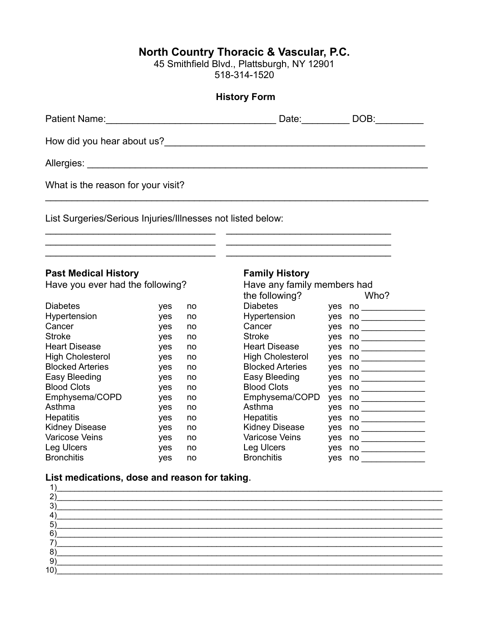45 Smithfield Blvd., Plattsburgh, NY 12901 518-314-1520

|                                                                                                                 |            |          | <b>History Form</b>                                  |            |                                  |
|-----------------------------------------------------------------------------------------------------------------|------------|----------|------------------------------------------------------|------------|----------------------------------|
| Patient Name: Mannell Allen Mannell Allen Mannell Allen Mannell Allen Mannell Allen Mannell Allen Mannell Allen |            |          | Date: <b>Date</b>                                    |            | DOB:                             |
|                                                                                                                 |            |          |                                                      |            |                                  |
|                                                                                                                 |            |          |                                                      |            |                                  |
| What is the reason for your visit?                                                                              |            |          |                                                      |            |                                  |
| List Surgeries/Serious Injuries/Illnesses not listed below:                                                     |            |          |                                                      |            |                                  |
| <b>Past Medical History</b><br>Have you ever had the following?                                                 |            |          | <b>Family History</b><br>Have any family members had |            |                                  |
| <b>Diabetes</b>                                                                                                 | yes        | no       | the following?<br><b>Diabetes</b>                    |            | Who?                             |
| Hypertension                                                                                                    | yes        | no       | Hypertension                                         |            |                                  |
| Cancer                                                                                                          | yes        | no       | Cancer                                               | yes        | $no \qquad \qquad \qquad \qquad$ |
| <b>Stroke</b>                                                                                                   | yes        | no       | <b>Stroke</b>                                        | yes        |                                  |
| <b>Heart Disease</b>                                                                                            | yes        | no       | <b>Heart Disease</b>                                 | yes        | $no \qquad \qquad$               |
| <b>High Cholesterol</b>                                                                                         | yes        | no       | <b>High Cholesterol</b>                              | yes        |                                  |
| <b>Blocked Arteries</b>                                                                                         | yes        | no       | <b>Blocked Arteries</b>                              | yes        |                                  |
| Easy Bleeding<br><b>Blood Clots</b>                                                                             | yes        | no       | Easy Bleeding<br><b>Blood Clots</b>                  | yes        |                                  |
| Emphysema/COPD                                                                                                  | yes        | no       | Emphysema/COPD                                       | yes        | $no \_\_$                        |
| Asthma                                                                                                          | yes<br>yes | no<br>no | Asthma                                               | yes        | $no \qquad \qquad$               |
| <b>Hepatitis</b>                                                                                                | yes        | no       | <b>Hepatitis</b>                                     | yes<br>yes |                                  |
| <b>Kidney Disease</b>                                                                                           | yes        | no       | Kidney Disease                                       | yes        | $no \_\_$                        |
| Varicose Veins                                                                                                  | yes        | no       | Varicose Veins                                       | yes        |                                  |
|                                                                                                                 |            |          |                                                      |            |                                  |
| Leg Ulcers                                                                                                      | yes        | no       | Leg Ulcers                                           | yes        |                                  |

## **List medications, dose and reason for taking.**

|              | the control of the control of the control of the control of the control of the control of |
|--------------|-------------------------------------------------------------------------------------------|
|              |                                                                                           |
|              |                                                                                           |
|              |                                                                                           |
| 5            |                                                                                           |
|              |                                                                                           |
|              |                                                                                           |
| $\mathbf{O}$ | <u> 1989 - Andrea Stadt Britain, amerikansk politiker (d. 1989)</u>                       |
|              |                                                                                           |
| 10)          |                                                                                           |
|              |                                                                                           |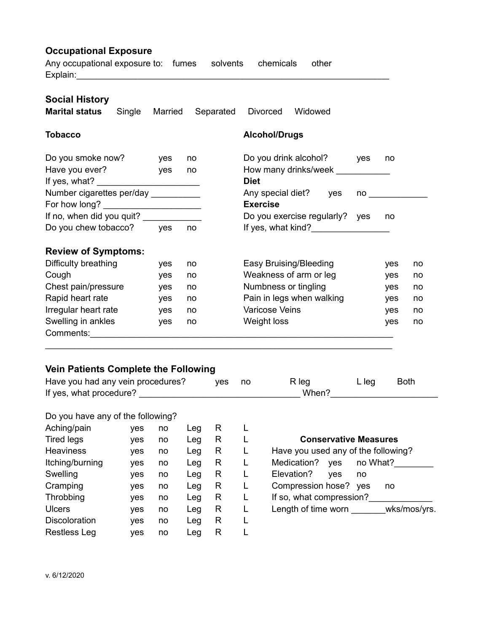# **Occupational Exposure**

Any occupational exposure to: fumes solvents chemicals other Explain:

| <b>Social History</b><br><b>Marital status</b>                  | Single | Married    | Separated | <b>Divorced</b>                      | Widowed                                                                           |                                                                                                               |     |    |
|-----------------------------------------------------------------|--------|------------|-----------|--------------------------------------|-----------------------------------------------------------------------------------|---------------------------------------------------------------------------------------------------------------|-----|----|
| <b>Tobacco</b>                                                  |        |            |           | <b>Alcohol/Drugs</b>                 |                                                                                   |                                                                                                               |     |    |
| Do you smoke now?<br>Have you ever?                             |        | yes<br>yes | no<br>no  | <b>Diet</b>                          | Do you drink alcohol?<br>How many drinks/week                                     | <b>ves</b>                                                                                                    | no  |    |
| Number cigarettes per/day __________                            |        |            |           | Any special diet?<br><b>Exercise</b> | yes                                                                               | no componenti di un segno di un segno di un segno di un segno di un segno di un segno di un segno di un segno |     |    |
|                                                                 |        |            |           |                                      |                                                                                   |                                                                                                               |     |    |
| If no, when did you quit? _____________<br>Do you chew tobacco? |        | <b>ves</b> | no        |                                      | Do you exercise regularly? yes<br>If yes, what kind?<br><u>If</u> yes, what kind? |                                                                                                               | no  |    |
| <b>Review of Symptoms:</b>                                      |        |            |           |                                      |                                                                                   |                                                                                                               |     |    |
| Difficulty breathing                                            |        | yes        | no        | Easy Bruising/Bleeding               |                                                                                   |                                                                                                               | yes | no |
| Cough                                                           |        | yes        | no        |                                      | Weakness of arm or leg                                                            |                                                                                                               | yes | no |
| Chest pain/pressure                                             |        | yes        | no        | Numbness or tingling                 |                                                                                   |                                                                                                               | yes | no |
| Rapid heart rate                                                |        | yes        | no        |                                      | Pain in legs when walking                                                         |                                                                                                               | yes | no |
| Irregular heart rate                                            |        | yes        | no        | <b>Varicose Veins</b>                |                                                                                   |                                                                                                               | yes | no |
| Swelling in ankles                                              |        | yes        | no        | Weight loss                          |                                                                                   |                                                                                                               | yes | no |
| Comments:                                                       |        |            |           |                                      |                                                                                   |                                                                                                               |     |    |

#### **Vein Patients Complete the Following**

| Have you had any vein procedures? | yes no | R leg | L leg | <b>Both</b> |  |
|-----------------------------------|--------|-------|-------|-------------|--|
| If yes, what procedure?           |        | When? |       |             |  |

### Do you have any of the following?

| Aching/pain          | ves | no | Leg | R |                                       |
|----------------------|-----|----|-----|---|---------------------------------------|
| <b>Tired legs</b>    | ves | no | Leg | R | <b>Conservative Measures</b>          |
| <b>Heaviness</b>     | ves | no | Leg | R | Have you used any of the following?   |
| Itching/burning      | ves | no | Leg | R | Medication?<br>no What?<br><b>ves</b> |
| Swelling             | ves | no | Leg | R | Elevation?<br>ves<br>no               |
| Cramping             | ves | no | Leg | R | Compression hose?<br>ves<br>no        |
| Throbbing            | ves | no | Leg | R | If so, what compression?              |
| <b>Ulcers</b>        | ves | no | Leg | R | Length of time worn<br>wks/mos/yrs.   |
| <b>Discoloration</b> | ves | no | Leg | R |                                       |
| <b>Restless Leg</b>  | ves | no | Leg | R |                                       |

| <b>Conservative Measures</b>        |              |  |  |  |  |  |
|-------------------------------------|--------------|--|--|--|--|--|
| Have you used any of the following? |              |  |  |  |  |  |
| Medication?                         | yes no What? |  |  |  |  |  |
| Elevation?<br>ves                   | no           |  |  |  |  |  |
| Compression hose? yes               | no           |  |  |  |  |  |
| If so, what compression?            |              |  |  |  |  |  |
| Length of time worn                 | wks/mos/yrs. |  |  |  |  |  |
|                                     |              |  |  |  |  |  |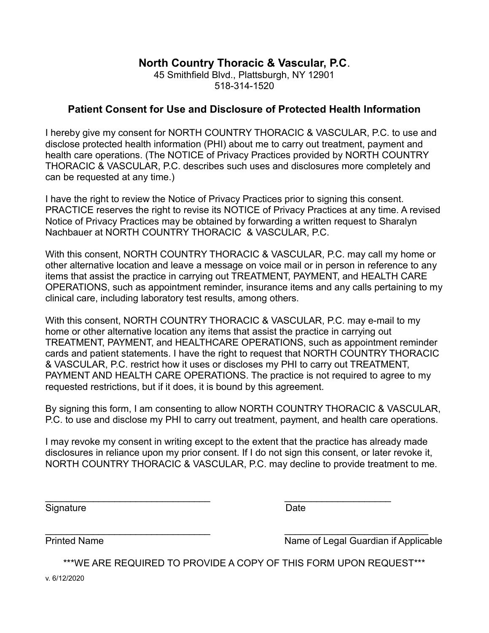45 Smithfield Blvd., Plattsburgh, NY 12901 518-314-1520

### **Patient Consent for Use and Disclosure of Protected Health Information**

I hereby give my consent for NORTH COUNTRY THORACIC & VASCULAR, P.C. to use and disclose protected health information (PHI) about me to carry out treatment, payment and health care operations. (The NOTICE of Privacy Practices provided by NORTH COUNTRY THORACIC & VASCULAR, P.C. describes such uses and disclosures more completely and can be requested at any time.)

I have the right to review the Notice of Privacy Practices prior to signing this consent. PRACTICE reserves the right to revise its NOTICE of Privacy Practices at any time. A revised Notice of Privacy Practices may be obtained by forwarding a written request to Sharalyn Nachbauer at NORTH COUNTRY THORACIC & VASCULAR, P.C.

With this consent, NORTH COUNTRY THORACIC & VASCULAR, P.C. may call my home or other alternative location and leave a message on voice mail or in person in reference to any items that assist the practice in carrying out TREATMENT, PAYMENT, and HEALTH CARE OPERATIONS, such as appointment reminder, insurance items and any calls pertaining to my clinical care, including laboratory test results, among others.

With this consent, NORTH COUNTRY THORACIC & VASCULAR, P.C. may e-mail to my home or other alternative location any items that assist the practice in carrying out TREATMENT, PAYMENT, and HEALTHCARE OPERATIONS, such as appointment reminder cards and patient statements. I have the right to request that NORTH COUNTRY THORACIC & VASCULAR, P.C. restrict how it uses or discloses my PHI to carry out TREATMENT, PAYMENT AND HEALTH CARE OPERATIONS. The practice is not required to agree to my requested restrictions, but if it does, it is bound by this agreement.

By signing this form, I am consenting to allow NORTH COUNTRY THORACIC & VASCULAR, P.C. to use and disclose my PHI to carry out treatment, payment, and health care operations.

I may revoke my consent in writing except to the extent that the practice has already made disclosures in reliance upon my prior consent. If I do not sign this consent, or later revoke it, NORTH COUNTRY THORACIC & VASCULAR, P.C. may decline to provide treatment to me.

\_\_\_\_\_\_\_\_\_\_\_\_\_\_\_\_\_\_\_\_\_\_\_\_\_\_\_\_\_\_\_ \_\_\_\_\_\_\_\_\_\_\_\_\_\_\_\_\_\_\_\_

Signature Date Date Date

 $\overline{\phantom{a}}$  , and the contribution of the contribution of  $\overline{\phantom{a}}$  , and  $\overline{\phantom{a}}$  , and  $\overline{\phantom{a}}$  , and  $\overline{\phantom{a}}$ Printed Name Name Name of Legal Guardian if Applicable

\*\*\*WE ARE REQUIRED TO PROVIDE A COPY OF THIS FORM UPON REQUEST\*\*\*

v. 6/12/2020